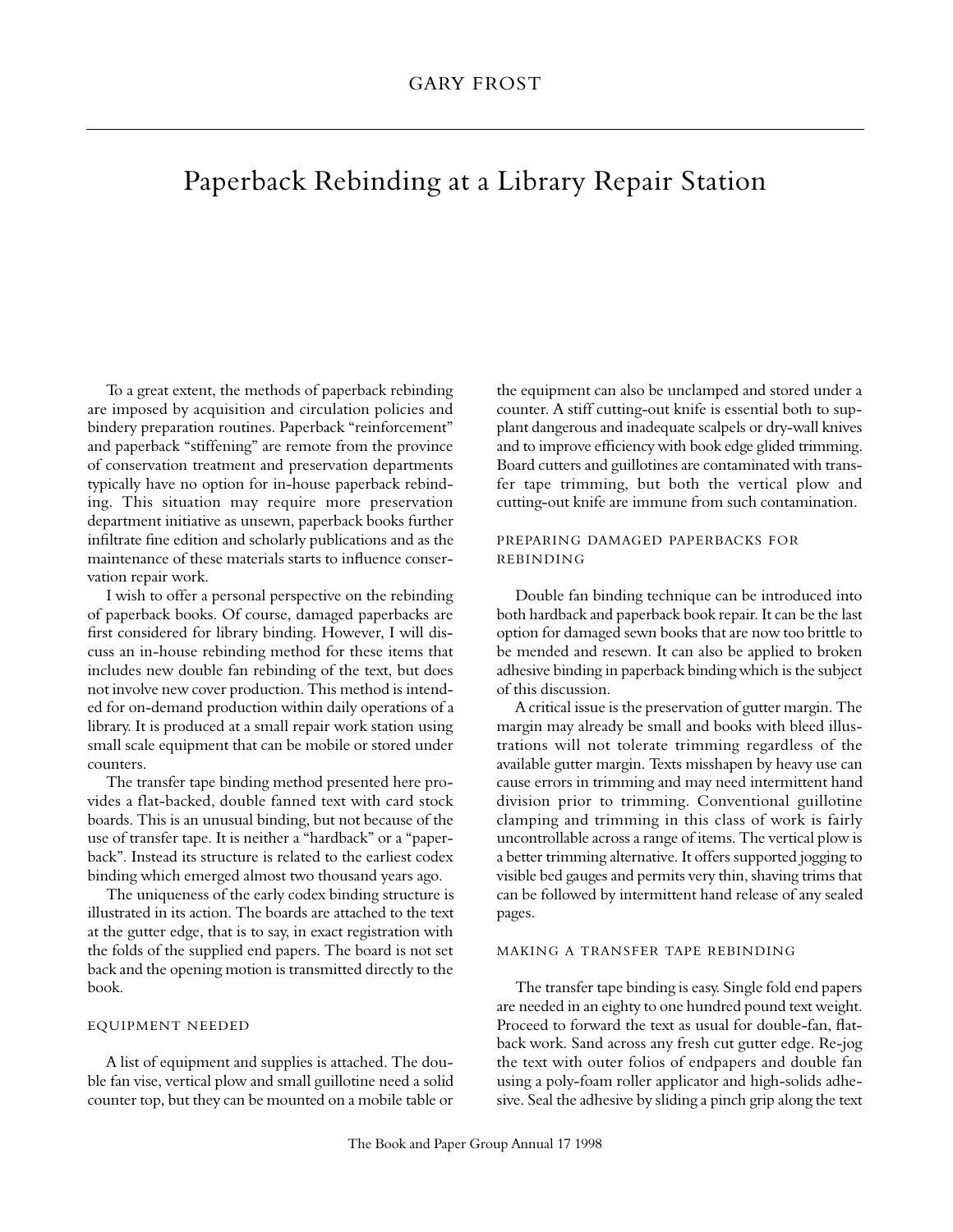# Paperback Rebinding at a Library Repair Station

To a great extent, the methods of paperback rebinding are imposed by acquisition and circulation policies and bindery preparation routines. Paperback "reinforcement" and paperback "stiffening" are remote from the province of conservation treatment and preservation departments typically have no option for in-house paperback rebinding. This situation may require more preservation department initiative as unsewn, paperback books further infiltrate fine edition and scholarly publications and as the maintenance of these materials starts to influence conservation repair work.

I wish to offer a personal perspective on the rebinding of paperback books. Of course, damaged paperbacks are first considered for library binding. However, I will discuss an in-house rebinding method for these items that includes new double fan rebinding of the text, but does not involve new cover production. This method is intended for on-demand production within daily operations of a library. It is produced at a small repair work station using small scale equipment that can be mobile or stored under counters.

The transfer tape binding method presented here provides a flat-backed, double fanned text with card stock boards. This is an unusual binding, but not because of the use of transfer tape. It is neither a "hardback" or a "paperback". Instead its structure is related to the earliest codex binding which emerged almost two thousand years ago.

The uniqueness of the early codex binding structure is illustrated in its action. The boards are attached to the text at the gutter edge, that is to say, in exact registration with the folds of the supplied end papers. The board is not set back and the opening motion is transmitted directly to the book.

## EQUIPMENT NEEDED

A list of equipment and supplies is attached. The double fan vise, vertical plow and small guillotine need a solid counter top, but they can be mounted on a mobile table or the equipment can also be unclamped and stored under a counter. A stiff cutting-out knife is essential both to supplant dangerous and inadequate scalpels or dry-wall knives and to improve efficiency with book edge glided trimming. Board cutters and guillotines are contaminated with transfer tape trimming, but both the vertical plow and cutting-out knife are immune from such contamination.

# PREPARING DAMAGED PAPERBACKS FOR REBINDING

Double fan binding technique can be introduced into both hardback and paperback book repair. It can be the last option for damaged sewn books that are now too brittle to be mended and resewn. It can also be applied to broken adhesive binding in paperback binding which is the subject of this discussion.

A critical issue is the preservation of gutter margin. The margin may already be small and books with bleed illustrations will not tolerate trimming regardless of the available gutter margin. Texts misshapen by heavy use can cause errors in trimming and may need intermittent hand division prior to trimming. Conventional guillotine clamping and trimming in this class of work is fairly uncontrollable across a range of items. The vertical plow is a better trimming alternative. It offers supported jogging to visible bed gauges and permits very thin, shaving trims that can be followed by intermittent hand release of any sealed pages.

# MAKING A TRANSFER TAPE REBINDING

The transfer tape binding is easy. Single fold end papers are needed in an eighty to one hundred pound text weight. Proceed to forward the text as usual for double-fan, flatback work. Sand across any fresh cut gutter edge. Re-jog the text with outer folios of endpapers and double fan using a poly-foam roller applicator and high-solids adhesive. Seal the adhesive by sliding a pinch grip along the text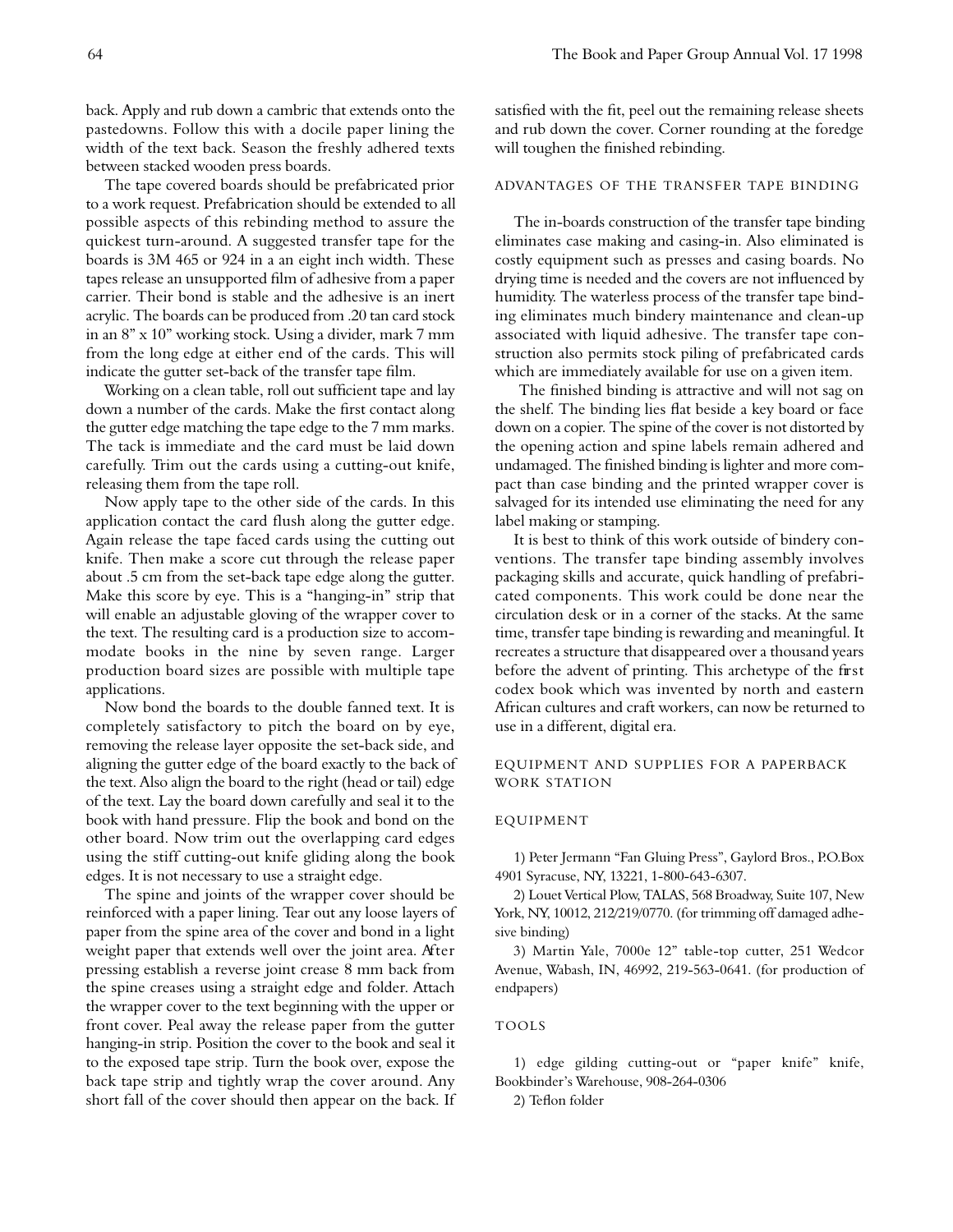back. Apply and rub down a cambric that extends onto the pastedowns. Follow this with a docile paper lining the width of the text back. Season the freshly adhered texts between stacked wooden press boards.

The tape covered boards should be prefabricated prior to a work request. Prefabrication should be extended to all possible aspects of this rebinding method to assure the quickest turn-around. A suggested transfer tape for the boards is 3M 465 or 924 in a an eight inch width. These tapes release an unsupported film of adhesive from a paper carrier. Their bond is stable and the adhesive is an inert acrylic. The boards can be produced from .20 tan card stock in an 8" x 10" working stock. Using a divider, mark 7 mm from the long edge at either end of the cards. This will indicate the gutter set-back of the transfer tape film.

Working on a clean table, roll out sufficient tape and lay down a number of the cards. Make the first contact along the gutter edge matching the tape edge to the 7 mm marks. The tack is immediate and the card must be laid down carefully. Trim out the cards using a cutting-out knife, releasing them from the tape roll.

Now apply tape to the other side of the cards. In this application contact the card flush along the gutter edge. Again release the tape faced cards using the cutting out knife. Then make a score cut through the release paper about .5 cm from the set-back tape edge along the gutter. Make this score by eye. This is a "hanging-in" strip that will enable an adjustable gloving of the wrapper cover to the text. The resulting card is a production size to accommodate books in the nine by seven range. Larger production board sizes are possible with multiple tape applications.

Now bond the boards to the double fanned text. It is completely satisfactory to pitch the board on by eye, removing the release layer opposite the set-back side, and aligning the gutter edge of the board exactly to the back of the text. Also align the board to the right (head or tail) edge of the text. Lay the board down carefully and seal it to the book with hand pressure. Flip the book and bond on the other board. Now trim out the overlapping card edges using the stiff cutting-out knife gliding along the book edges. It is not necessary to use a straight edge.

The spine and joints of the wrapper cover should be reinforced with a paper lining. Tear out any loose layers of paper from the spine area of the cover and bond in a light weight paper that extends well over the joint area. After pressing establish a reverse joint crease 8 mm back from the spine creases using a straight edge and folder. Attach the wrapper cover to the text beginning with the upper or front cover. Peal away the release paper from the gutter hanging-in strip. Position the cover to the book and seal it to the exposed tape strip. Turn the book over, expose the back tape strip and tightly wrap the cover around. Any short fall of the cover should then appear on the back. If

satisfied with the fit, peel out the remaining release sheets and rub down the cover. Corner rounding at the foredge will toughen the finished rebinding.

# ADVANTAGES OF THE TRANSFER TAPE BINDING

The in-boards construction of the transfer tape binding eliminates case making and casing-in. Also eliminated is costly equipment such as presses and casing boards. No drying time is needed and the covers are not influenced by humidity. The waterless process of the transfer tape binding eliminates much bindery maintenance and clean-up associated with liquid adhesive. The transfer tape construction also permits stock piling of prefabricated cards which are immediately available for use on a given item.

The finished binding is attractive and will not sag on the shelf. The binding lies flat beside a key board or face down on a copier. The spine of the cover is not distorted by the opening action and spine labels remain adhered and undamaged. The finished binding is lighter and more compact than case binding and the printed wrapper cover is salvaged for its intended use eliminating the need for any label making or stamping.

It is best to think of this work outside of bindery conventions. The transfer tape binding assembly involves packaging skills and accurate, quick handling of prefabricated components. This work could be done near the circulation desk or in a corner of the stacks. At the same time, transfer tape binding is rewarding and meaningful. It recreates a structure that disappeared over a thousand years before the advent of printing. This archetype of the first codex book which was invented by north and eastern African cultures and craft workers, can now be returned to use in a different, digital era.

# EQUIPMENT AND SUPPLIES FOR A PAPERBACK WORK STATION

#### **EQUIPMENT**

1) Peter Jermann "Fan Gluing Press", Gaylord Bros., P.O.Box 4901 Syracuse, NY, 13221, 1-800-643-6307.

2) Louet Vertical Plow, TALAS, 568 Broadway, Suite 107, New York, NY, 10012, 212/219/0770. (for trimming off damaged adhesive binding)

3) Martin Yale, 7000e 12" table-top cutter, 251 Wedcor Avenue, Wabash, IN, 46992, 219-563-0641. (for production of endpapers)

#### **TOOLS**

1) edge gilding cutting-out or "paper knife" knife, Bookbinder's Warehouse, 908-264-0306

2) Teflon folder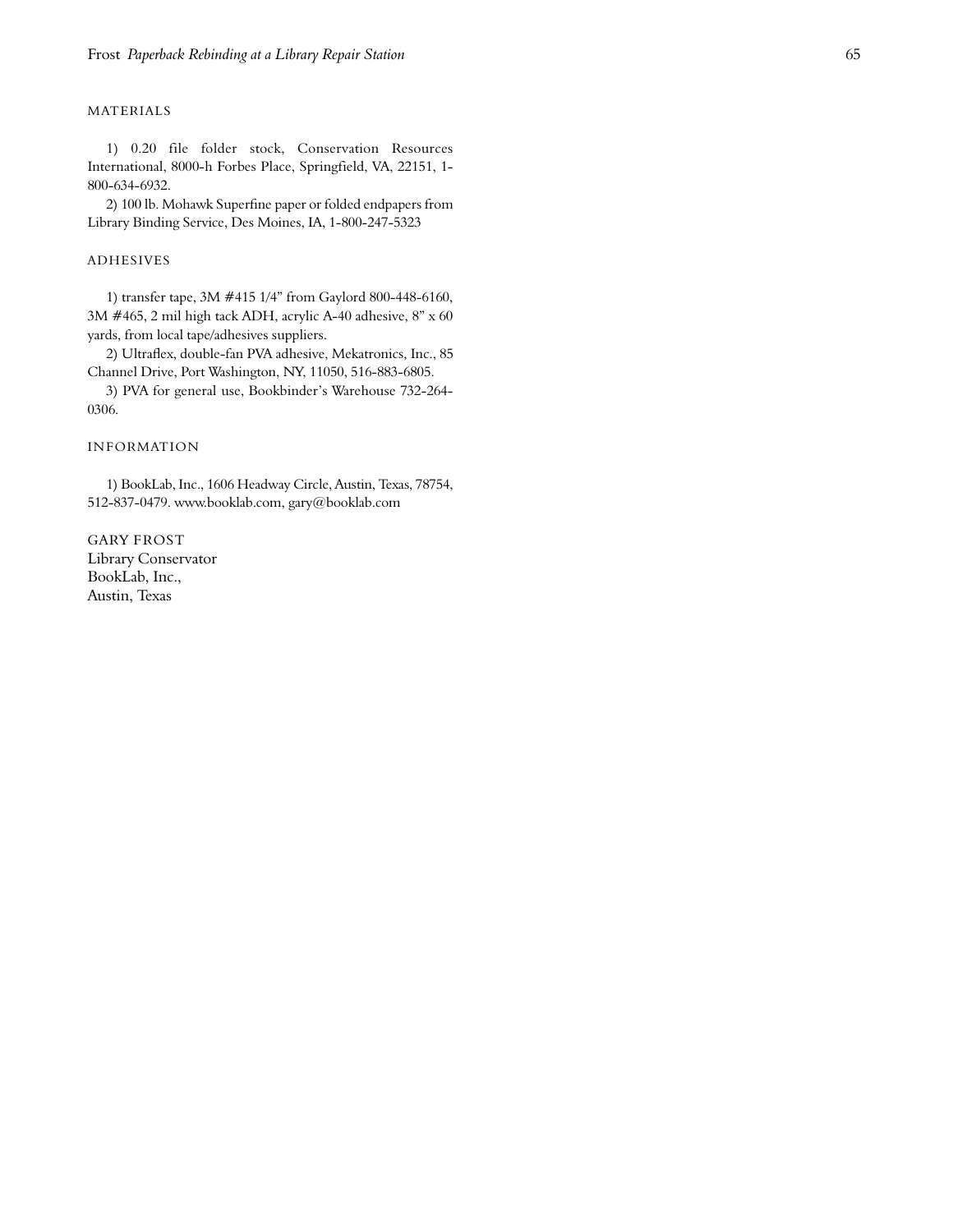## **MATERIALS**

1) 0.20 file folder stock, Conservation Resources International, 8000-h Forbes Place, Springfield, VA, 22151, 1-800-634-6932. Frost *Paperhack Rebinding at a Library Repair Station*<br>
MATERIALS<br>
1) 0.20 file folder stock, Conservation Resources<br>
International, 8000-h Forbes Place, Springfield, VA, 22151, 1-<br>
2) 100 lb. Mchawk Supertine paper or fo

2) 100 lb. Mohawk Superfine paper or folded endpapers from Library Binding Service, Des Moines, IA, 1-800-247-5323

### **ADHESIVES**

1) transfer tape, 3M #415 1/4" from Gaylord 800-448-6160, 3M #465, 2 mil high tack ADH, acrylic A-40 adhesive, 8" x 60 yards, from local tape/adhesives suppliers.

2) Ultraflex, double-fan PVA adhesive, Mekatronics, Inc., 85 Channel Drive, Port Washington, NY, 11050, 516-883-6805.

3) PVA for g eneral use, Bookb inde r 's Warehouse 732 -264 - 0306.

## INFORMATION

1) BookLab, Inc., 1606 Headway Circle, Austin, Texas, 78754, 512-837-0479. www.booklab.com, gary@booklab.com

GARY FROST Library Conservator